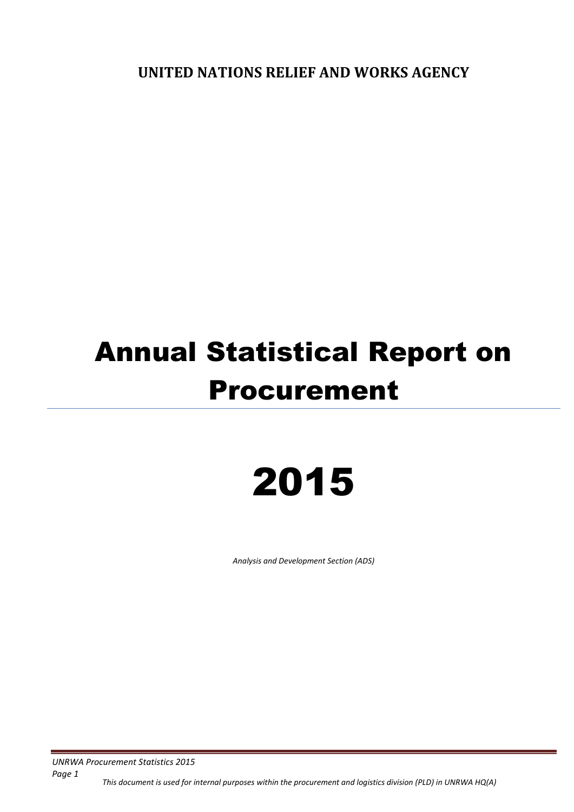**UNITED NATIONS RELIEF AND WORKS AGENCY**

# Annual Statistical Report on Procurement

# 2015

*Analysis and Development Section (ADS)*

*UNRWA Procurement Statistics 2015*

*Page 1 This document is used for internal purposes within the procurement and logistics division (PLD) in UNRWA HQ(A)*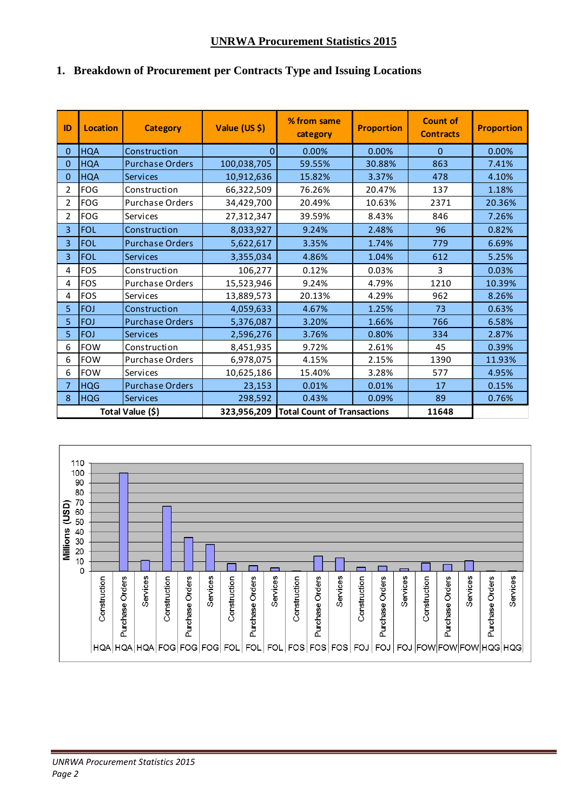#### **UNRWA Procurement Statistics 2015**

|  |  | 1. Breakdown of Procurement per Contracts Type and Issuing Locations |  |  |  |  |
|--|--|----------------------------------------------------------------------|--|--|--|--|
|--|--|----------------------------------------------------------------------|--|--|--|--|

| ID               | <b>Location</b> | <b>Category</b>        | Value (US \$)                             | % from same<br>category | <b>Proportion</b> | <b>Count of</b><br><b>Contracts</b> | <b>Proportion</b> |
|------------------|-----------------|------------------------|-------------------------------------------|-------------------------|-------------------|-------------------------------------|-------------------|
| $\mathbf{0}$     | <b>HQA</b>      | Construction           | $\overline{0}$                            | 0.00%                   | 0.00%             | $\mathbf{0}$                        | 0.00%             |
| $\mathbf{0}$     | <b>HQA</b>      | <b>Purchase Orders</b> | 100,038,705                               | 59.55%                  | 30.88%            | 863                                 | 7.41%             |
| $\Omega$         | <b>HQA</b>      | <b>Services</b>        | 10,912,636                                | 15.82%                  | 3.37%             | 478                                 | 4.10%             |
| $\overline{2}$   | FOG             | Construction           | 66,322,509                                | 76.26%                  | 20.47%            | 137                                 | 1.18%             |
| $\overline{2}$   | <b>FOG</b>      | Purchase Orders        | 34,429,700                                | 20.49%                  | 10.63%            | 2371                                | 20.36%            |
| $\overline{2}$   | <b>FOG</b>      | Services               | 27,312,347                                | 39.59%                  | 8.43%             | 846                                 | 7.26%             |
| 3                | <b>FOL</b>      | Construction           | 8,033,927                                 | 9.24%                   | 2.48%             | 96                                  | 0.82%             |
| $\overline{3}$   | <b>FOL</b>      | <b>Purchase Orders</b> | 5,622,617                                 | 3.35%                   | 1.74%             | 779                                 | 6.69%             |
| 3                | <b>FOL</b>      | <b>Services</b>        | 3,355,034                                 | 4.86%                   | 1.04%             | 612                                 | 5.25%             |
| 4                | <b>FOS</b>      | Construction           | 106,277                                   | 0.12%                   | 0.03%             | 3                                   | 0.03%             |
| 4                | <b>FOS</b>      | <b>Purchase Orders</b> | 15,523,946                                | 9.24%                   | 4.79%             | 1210                                | 10.39%            |
| 4                | <b>FOS</b>      | Services               | 13,889,573                                | 20.13%                  | 4.29%             | 962                                 | 8.26%             |
| 5.               | <b>FOJ</b>      | Construction           | 4,059,633                                 | 4.67%                   | 1.25%             | 73                                  | 0.63%             |
| 5                | FOJ             | <b>Purchase Orders</b> | 5,376,087                                 | 3.20%                   | 1.66%             | 766                                 | 6.58%             |
| 5                | <b>FOJ</b>      | <b>Services</b>        | 2,596,276                                 | 3.76%                   | 0.80%             | 334                                 | 2.87%             |
| 6                | <b>FOW</b>      | Construction           | 8,451,935                                 | 9.72%                   | 2.61%             | 45                                  | 0.39%             |
| 6                | <b>FOW</b>      | <b>Purchase Orders</b> | 6,978,075                                 | 4.15%                   | 2.15%             | 1390                                | 11.93%            |
| 6                | <b>FOW</b>      | Services               | 10,625,186                                | 15.40%                  | 3.28%             | 577                                 | 4.95%             |
| $\overline{7}$   | <b>HQG</b>      | <b>Purchase Orders</b> | 23,153                                    | 0.01%                   | 0.01%             | 17                                  | 0.15%             |
| 8                | <b>HQG</b>      | <b>Services</b>        | 298,592                                   | 0.43%                   | 0.09%             | 89                                  | 0.76%             |
| Total Value (\$) |                 |                        | 323,956,209   Total Count of Transactions |                         | 11648             |                                     |                   |

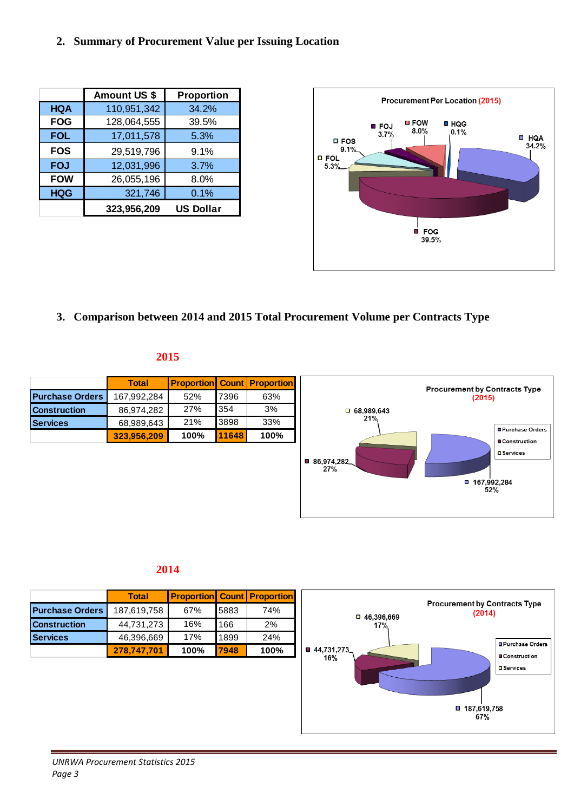#### **2. Summary of Procurement Value per Issuing Location**

|            | <b>Amount US \$</b> | <b>Proportion</b> |
|------------|---------------------|-------------------|
| <b>HQA</b> | 110,951,342         | 34.2%             |
| <b>FOG</b> | 128,064,555         | 39.5%             |
| <b>FOL</b> | 17,011,578          | 5.3%              |
| <b>FOS</b> | 29,519,796          | 9.1%              |
| <b>FOJ</b> | 12,031,996          | 3.7%              |
| <b>FOW</b> | 26,055,196          | 8.0%              |
| <b>HQG</b> | 321,746             | 0.1%              |
|            | 323,956,209         | <b>US Dollar</b>  |



**3. Comparison between 2014 and 2015 Total Procurement Volume per Contracts Type**

#### **2015**

|                        | <b>Total</b> | <b>Proportion   Count   Proportion</b> |       |      |
|------------------------|--------------|----------------------------------------|-------|------|
| <b>Purchase Orders</b> | 167,992,284  | 52%                                    | 7396  | 63%  |
| <b>Construction</b>    | 86,974,282   | 27%                                    | 354   | 3%   |
| <b>Services</b>        | 68,989,643   | 21%                                    | 3898  | 33%  |
|                        | 323,956,209  | 100%                                   | 11648 | 100% |



#### **2014**

|                        | <b>Total</b> | <b>Proportion Count Proportion</b> |      |      |
|------------------------|--------------|------------------------------------|------|------|
| <b>Purchase Orders</b> | 187,619,758  | 67%                                | 5883 | 74%  |
| <b>Construction</b>    | 44,731,273   | 16%                                | 166  | 2%   |
| <b>Services</b>        | 46,396,669   | 17%                                | 1899 | 24%  |
|                        | 278,747,701  | 100%                               | 7948 | 100% |

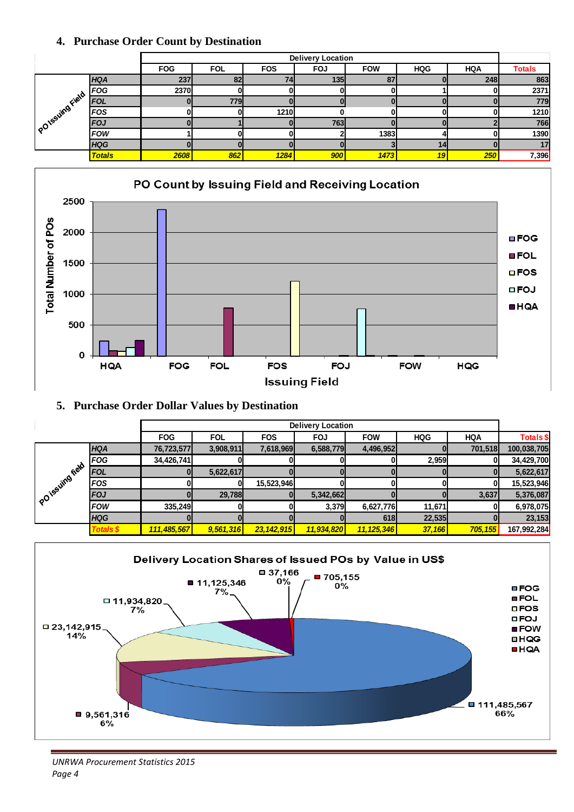#### **4. Purchase Order Count by Destination**

|                 |               |            | <b>Delivery Location</b> |            |     |            |            |            |               |  |  |
|-----------------|---------------|------------|--------------------------|------------|-----|------------|------------|------------|---------------|--|--|
|                 |               | <b>FOG</b> | <b>FOL</b>               | <b>FOS</b> | FOJ | <b>FOW</b> | <b>HQG</b> | <b>HQA</b> | <b>Totals</b> |  |  |
|                 | <b>HQA</b>    | 237        | 82                       | 74         | 135 | 87         |            | 248        | 863           |  |  |
|                 | <b>FOG</b>    | 2370       |                          |            |     |            |            |            | 2371          |  |  |
|                 | <b>FOL</b>    |            | <b>779</b>               |            |     |            |            |            | 779           |  |  |
|                 | <b>FOS</b>    |            |                          | 1210       |     |            |            |            | 1210          |  |  |
| POISSUING Field | <b>FOJ</b>    |            |                          |            | 763 |            |            |            | 766           |  |  |
|                 | <b>FOW</b>    |            |                          |            |     | 1383       |            |            | 1390          |  |  |
|                 | <b>HQG</b>    |            |                          |            |     |            | 14         |            | 17            |  |  |
|                 | <b>Totals</b> | 2608       | 862                      | 1284       | 900 | 1473       | 19         | 250        | 7,396         |  |  |



#### **5. Purchase Order Dollar Values by Destination**

|             |                  |             | <b>Delivery Location</b> |              |            |              |            |            |                  |  |
|-------------|------------------|-------------|--------------------------|--------------|------------|--------------|------------|------------|------------------|--|
|             |                  | <b>FOG</b>  | <b>FOL</b>               | <b>FOS</b>   | <b>FOJ</b> | <b>FOW</b>   | <b>HQG</b> | <b>HQA</b> | <b>Totals \$</b> |  |
|             | <b>HQA</b>       | 76,723,577  | 3,908,911                | 7,618,969    | 6,588,779  | 4,496,952    |            | 701,518    | 100,038,705      |  |
|             | <b>FOG</b>       | 34,426,741  |                          |              |            |              | 2,959      | 01         | 34,429,700       |  |
| POISSUMBING | FOL              |             | 5,622,617                |              |            |              |            |            | 5,622,617        |  |
|             | <b>FOS</b>       |             | 01                       | 15,523,946   |            |              |            | 01         | 15,523,946       |  |
|             | <b>FOJ</b>       |             | 29,788                   |              | 5,342,662  |              |            | 3,637      | 5,376,087        |  |
|             | <b>FOW</b>       | 335,249     | OI                       |              | 3,379      | 6,627,776    | 11,671     | OI         | 6,978,075        |  |
|             | <b>HQG</b>       |             |                          |              |            | 618          | 22,535     |            | 23,153           |  |
|             | <b>Totals \$</b> | 111,485,567 | 9,561,316                | 23, 142, 915 | 11,934,820 | 11, 125, 346 | 37,166     | 705,155    | 167,992,284      |  |



*UNRWA Procurement Statistics 2015 Page 4*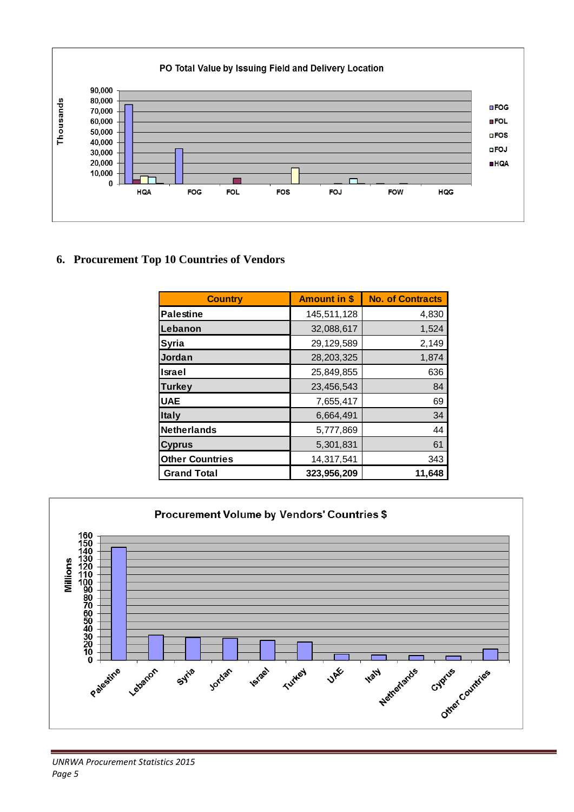

#### **6. Procurement Top 10 Countries of Vendors**

| <b>Country</b>         | <b>Amount in \$</b> | <b>No. of Contracts</b> |
|------------------------|---------------------|-------------------------|
| <b>Palestine</b>       | 145,511,128         | 4,830                   |
| Lebanon                | 32,088,617          | 1,524                   |
| <b>Syria</b>           | 29,129,589          | 2,149                   |
| Jordan                 | 28,203,325          | 1,874                   |
| <b>Israel</b>          | 25,849,855          | 636                     |
| <b>Turkey</b>          | 23,456,543          | 84                      |
| <b>UAE</b>             | 7,655,417           | 69                      |
| <b>Italy</b>           | 6,664,491           | 34                      |
| <b>Netherlands</b>     | 5,777,869           | 44                      |
| <b>Cyprus</b>          | 5,301,831           | 61                      |
| <b>Other Countries</b> | 14,317,541          | 343                     |
| <b>Grand Total</b>     | 323,956,209         | 11,648                  |

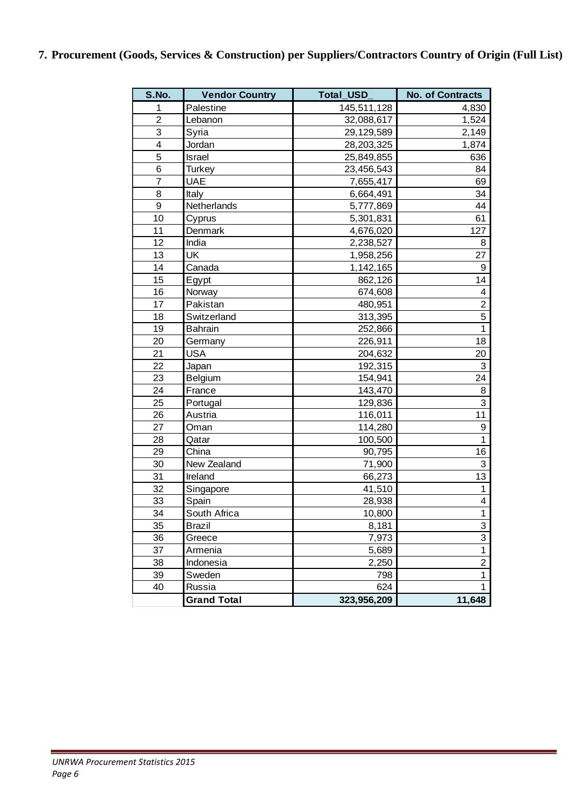| S.No.          | <b>Vendor Country</b> | Total_USD   | <b>No. of Contracts</b> |
|----------------|-----------------------|-------------|-------------------------|
| 1              | Palestine             | 145,511,128 | 4,830                   |
| $\overline{2}$ | Lebanon               | 32,088,617  | 1,524                   |
| 3              | Syria                 | 29,129,589  | 2,149                   |
| 4              | Jordan                | 28,203,325  | 1,874                   |
| 5              | <b>Israel</b>         | 25,849,855  | 636                     |
| 6              | <b>Turkey</b>         | 23,456,543  | 84                      |
| $\overline{7}$ | <b>UAE</b>            | 7,655,417   | 69                      |
| 8              | Italy                 | 6,664,491   | 34                      |
| 9              | Netherlands           | 5,777,869   | 44                      |
| 10             | Cyprus                | 5,301,831   | 61                      |
| 11             | Denmark               | 4,676,020   | 127                     |
| 12             | India                 | 2,238,527   | 8                       |
| 13             | <b>UK</b>             | 1,958,256   | 27                      |
| 14             | Canada                | 1, 142, 165 | 9                       |
| 15             | Egypt                 | 862,126     | 14                      |
| 16             | Norway                | 674,608     | 4                       |
| 17             | Pakistan              | 480,951     | $\overline{c}$          |
| 18             | Switzerland           | 313,395     | 5                       |
| 19             | <b>Bahrain</b>        | 252,866     | 1                       |
| 20             | Germany               | 226,911     | 18                      |
| 21             | <b>USA</b>            | 204,632     | 20                      |
| 22             | Japan                 | 192,315     | 3                       |
| 23             | Belgium               | 154,941     | 24                      |
| 24             | France                | 143,470     | 8                       |
| 25             | Portugal              | 129,836     | 3                       |
| 26             | Austria               | 116,011     | 11                      |
| 27             | Oman                  | 114,280     | 9                       |
| 28             | Qatar                 | 100,500     | 1                       |
| 29             | China                 | 90,795      | 16                      |
| 30             | New Zealand           | 71,900      | 3                       |
| 31             | Ireland               | 66,273      | 13                      |
| 32             | Singapore             | 41,510      | 1                       |
| 33             | Spain                 | 28,938      | 4                       |
| 34             | South Africa          | 10,800      | $\mathbf 1$             |
| 35             | <b>Brazil</b>         | 8,181       | 3                       |
| 36             | Greece                | 7,973       | 3                       |
| 37             | Armenia               | 5,689       | 1                       |
| 38             | Indonesia             | 2,250       | $\overline{c}$          |
| 39             | Sweden                | 798         | 1                       |
| 40             | Russia                | 624         | 1                       |
|                | <b>Grand Total</b>    | 323,956,209 | 11,648                  |

# **7. Procurement (Goods, Services & Construction) per Suppliers/Contractors Country of Origin (Full List)**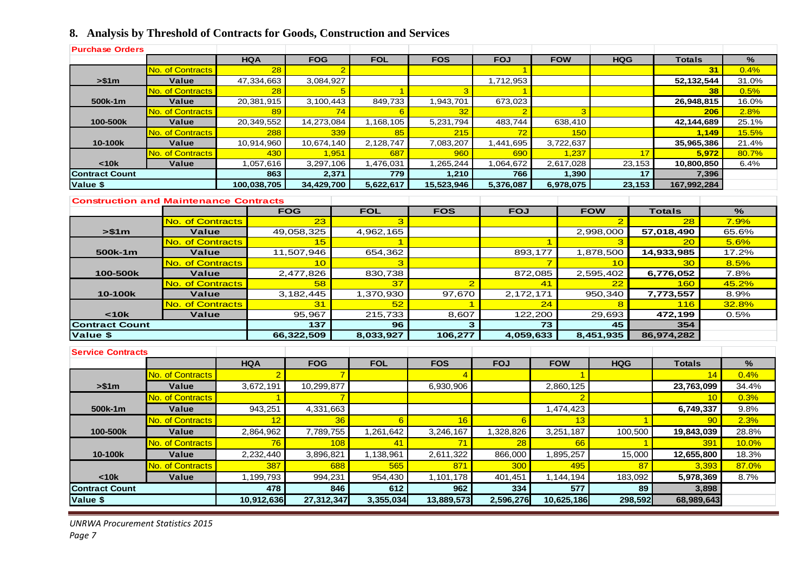# **8. Analysis by Threshold of Contracts for Goods, Construction and Services**

| <b>Purchase Orders</b>                        |                                     |  |                |            |                      |                        |                         |                |                         |            |                |                      |               |            |               |
|-----------------------------------------------|-------------------------------------|--|----------------|------------|----------------------|------------------------|-------------------------|----------------|-------------------------|------------|----------------|----------------------|---------------|------------|---------------|
|                                               |                                     |  | <b>HQA</b>     | <b>FOG</b> |                      | <b>FOL</b>             | <b>FOS</b>              | <b>FOJ</b>     |                         | <b>FOW</b> | <b>HQG</b>     |                      | <b>Totals</b> |            | %             |
|                                               | No. of Contracts                    |  | 28             |            |                      |                        |                         |                |                         |            |                |                      |               | 31         | 0.4%          |
| > \$1m                                        | <b>Value</b>                        |  | 47,334,663     | 3.084.927  |                      |                        |                         | 1,712,953      |                         |            |                |                      | 52.132.544    |            | 31.0%         |
|                                               | <mark>No. of Contracts</mark><br>28 |  |                | 5          | $\blacktriangleleft$ | 3                      |                         |                |                         |            |                |                      | 38            | 0.5%       |               |
| 500k-1m                                       | Value                               |  | 20,381,915     | 3,100,443  |                      | 849,733                | 1,943,701               | 673,023        |                         |            |                |                      | 26,948,815    |            | 16.0%         |
|                                               | <b>No. of Contracts</b>             |  | 89             |            | 74                   | 6                      | 32                      | $\overline{2}$ |                         | 3          |                |                      |               | 206        | 2.8%          |
| 100-500k                                      | <b>Value</b>                        |  | 20,349,552     | 14,273,084 |                      | 1,168,105              | 5,231,794               | 483.744        |                         | 638,410    |                |                      | 42,144,689    |            | 25.1%         |
|                                               | <b>No. of Contracts</b>             |  | 288            |            | 339                  | 85                     | 215                     | 72             |                         | 150        |                |                      |               | 1,149      | 15.5%         |
| 10-100k                                       | <b>Value</b>                        |  | 10,914,960     | 10,674,140 |                      | $\overline{2,}128,747$ | 7,083,207               | 1,441,695      |                         | 3,722,637  |                |                      | 35,965,386    |            | 21.4%         |
|                                               | No. of Contracts                    |  | 430            |            | 1,951                | 687                    | 960                     | 690            |                         | 1,237      |                | 17                   |               | 5,972      | 80.7%         |
| < 10k                                         | Value                               |  | 1,057,616      | 3,297,106  |                      | 1,476,031              | 1,265,244               | 1,064,672      |                         | 2,617,028  |                | 23,153               | 10,800,850    |            | 6.4%          |
| <b>Contract Count</b>                         |                                     |  | 863            |            | 2,371                | 779                    | 1,210                   | 766            |                         | 1,390      |                | 17                   |               | 7,396      |               |
| Value \$                                      |                                     |  | 100,038,705    | 34,429,700 |                      | 5,622,617              | 15,523,946              | 5,376,087      |                         | 6,978,075  |                | 23,153               | 167,992,284   |            |               |
| <b>Construction and Maintenance Contracts</b> |                                     |  |                |            |                      |                        |                         |                |                         |            |                |                      |               |            |               |
|                                               |                                     |  |                | <b>FOG</b> |                      | <b>FOL</b>             | <b>FOS</b>              | <b>FOJ</b>     |                         |            | <b>FOW</b>     |                      | <b>Totals</b> |            | $\frac{9}{6}$ |
|                                               | <b>No. of Contracts</b>             |  |                | 23         |                      | 3                      |                         |                |                         |            | $\overline{2}$ |                      | 28            |            | 7.9%          |
| > \$1m                                        | <b>Value</b>                        |  |                | 49,058,325 |                      | 4,962,165              |                         |                |                         |            | 2,998,000      |                      | 57,018,490    |            | 65.6%         |
|                                               | No. of Contracts                    |  |                | 15         |                      | $\mathbf 1$            |                         |                |                         |            | 3              |                      | 20            |            | 5.6%          |
| 500k-1m                                       | <b>Value</b>                        |  |                | 11,507,946 |                      | 654,362                |                         |                | 893,177                 |            | 1,878,500      |                      | 14,933,985    |            | 17.2%         |
|                                               | <b>No. of Contracts</b>             |  |                | 10         |                      | 3                      |                         |                | $\overline{\mathbf{z}}$ |            | 10             |                      | 8.5%<br>30    |            |               |
| 100-500k                                      | <b>Value</b>                        |  |                | 2,477,826  |                      | 830,738                |                         |                | 872,085                 | 2,595,402  |                |                      | 6,776,052     |            | 7.8%          |
|                                               | No. of Contracts                    |  |                | 58         |                      | 37                     | $\overline{\mathbf{2}}$ |                | 41                      |            | 22             | 160                  |               | 45.2%      |               |
| 10-100k                                       | <b>Value</b>                        |  |                | 3,182,445  |                      | 1,370,930              | 97,670                  | 2,172,171      |                         |            | 950,340        | 7,773,557            |               | 8.9%       |               |
|                                               | No. of Contracts                    |  |                | 31         |                      | 52                     | $\mathbf 1$             |                | 24                      |            | 8              |                      | 116           |            | 32.8%         |
| $<$ 10 $k$                                    | <b>Value</b>                        |  |                | 95,967     |                      | 215,733                | 8,607                   |                | 122,200                 |            | 29,693         |                      | 472,199       |            | 0.5%          |
| <b>Contract Count</b>                         |                                     |  |                | 137        |                      | 96                     | 3                       |                | 73                      |            | 45             |                      | 354           |            |               |
| Value \$                                      |                                     |  |                | 66,322,509 |                      | 8,033,927              | 106,277                 | 4,059,633      |                         |            | 8,451,935      |                      | 86.974.282    |            |               |
| <b>Service Contracts</b>                      |                                     |  |                |            |                      |                        |                         |                |                         |            |                |                      |               |            |               |
|                                               |                                     |  | <b>HQA</b>     | <b>FOG</b> |                      | <b>FOL</b>             | <b>FOS</b>              | <b>FOJ</b>     |                         | <b>FOW</b> | <b>HQG</b>     |                      | <b>Totals</b> |            | $\%$          |
|                                               | No. of Contracts                    |  | $\overline{2}$ |            |                      |                        | $\overline{4}$          |                |                         |            |                |                      |               | 14         | 0.4%          |
| > \$1m                                        | Value                               |  | 3,672,191      | 10,299,877 |                      |                        | 6,930,906               |                |                         | 2,860,125  |                |                      | 23,763,099    |            | 34.4%         |
|                                               | No. of Contracts                    |  |                |            |                      |                        |                         |                |                         |            |                |                      |               | 10         | 0.3%          |
| 500k-1m                                       | <b>Value</b>                        |  | 943,251        | 4,331,663  |                      |                        |                         |                |                         | 1,474,423  |                | 6,749,337            |               |            | 9.8%          |
|                                               | No. of Contracts                    |  | 12             |            | 36                   | 6                      | 16                      | 6              |                         | 13         |                | $\blacktriangleleft$ |               | 90         | 2.3%          |
| 100-500k                                      | Value                               |  | 2,864,962      | 7,789,755  |                      | 1,261,642              | 3,246,167               | 1,328,826      |                         | 3,251,187  |                | 100,500              | 19,843,039    |            | 28.8%         |
|                                               | <b>No. of Contracts</b>             |  | 76             |            | 108                  | 41                     | 71                      | 28             |                         | 66         |                | -1                   |               | 391        | 10.0%         |
|                                               |                                     |  | 2,232,440      |            |                      |                        | 2,611,322               | 866,000        |                         | 1,895,257  |                |                      |               | 12,655,800 |               |
| 10-100k                                       | Value                               |  |                | 3,896,821  |                      | 1,138,961              |                         |                |                         |            |                | 15,000               |               |            | 18.3%         |
|                                               | No. of Contracts                    |  | 387            |            | 688                  | 565                    | 871                     | 300            |                         | 495        |                | 87                   |               | 3,393      | 87.0%         |
| $10k$                                         | Value                               |  | 1,199,793      | 994,231    |                      | 954,430                | 1,101,178               | 401,451        |                         | 1,144,194  |                | 183,092              | 5,978,369     |            | 8.7%          |
| <b>Contract Count</b>                         |                                     |  | 478            |            | 846                  | 612                    | 962                     | 334            |                         | 577        |                | 89                   |               | 3,898      |               |
| Value \$                                      |                                     |  | 10,912,636     | 27,312,347 |                      | 3,355,034              | 13,889,573              | 2,596,276      |                         | 10,625,186 |                | 298,592              | 68,989,643    |            |               |

*UNRWA Procurement Statistics 2015*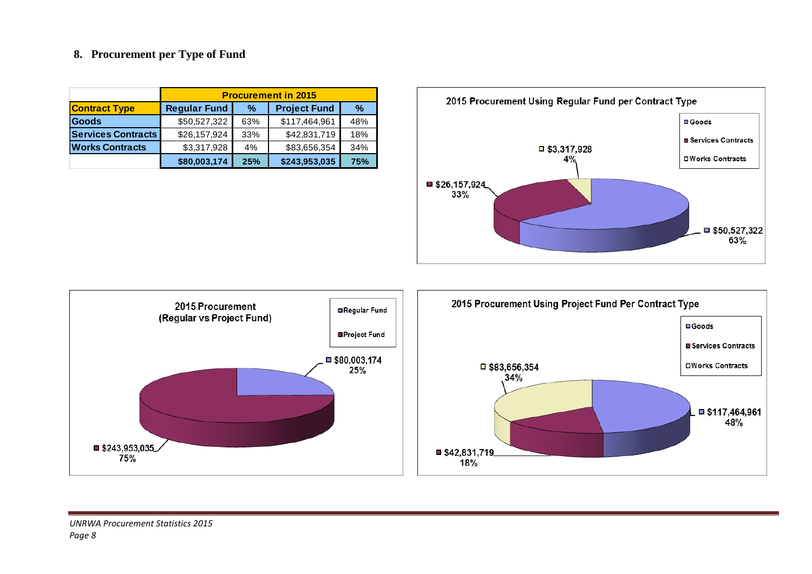#### **8. Procurement per Type of Fund**

|                           |                                      | <b>Procurement in 2015</b>  |               |     |  |  |  |  |  |  |
|---------------------------|--------------------------------------|-----------------------------|---------------|-----|--|--|--|--|--|--|
| <b>Contract Type</b>      | <b>Regular Fund</b>                  | <b>Project Fund</b><br>$\%$ |               |     |  |  |  |  |  |  |
| Goods                     | \$50,527,322                         | 63%                         | \$117,464,961 | 48% |  |  |  |  |  |  |
| <b>Services Contracts</b> | \$26,157,924                         | 33%                         | \$42,831,719  | 18% |  |  |  |  |  |  |
| <b>Works Contracts</b>    | \$3,317,928                          | 4%                          | \$83,656,354  | 34% |  |  |  |  |  |  |
|                           | \$243,953,035<br>\$80,003,174<br>25% |                             |               |     |  |  |  |  |  |  |



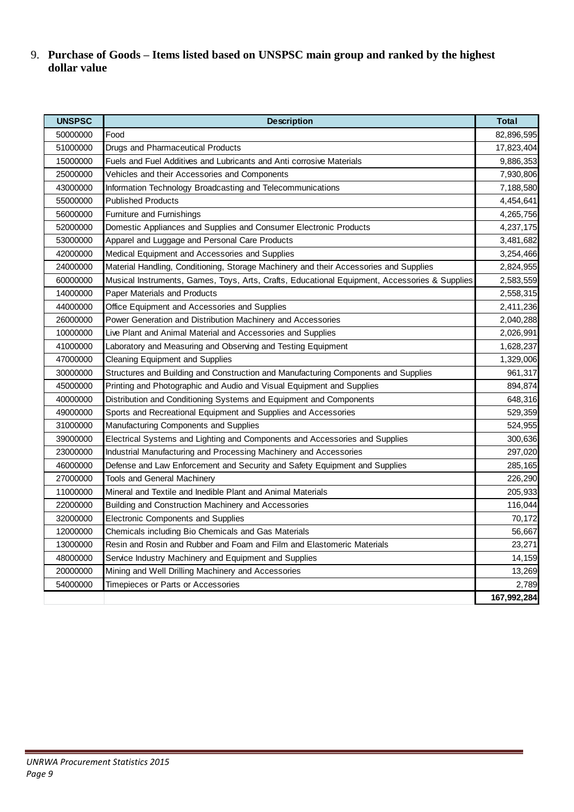## 9. **Purchase of Goods – Items listed based on UNSPSC main group and ranked by the highest dollar value**

| <b>UNSPSC</b> | <b>Description</b>                                                                            | <b>Total</b> |
|---------------|-----------------------------------------------------------------------------------------------|--------------|
| 50000000      | Food                                                                                          | 82,896,595   |
| 51000000      | Drugs and Pharmaceutical Products                                                             | 17,823,404   |
| 15000000      | Fuels and Fuel Additives and Lubricants and Anti corrosive Materials                          | 9,886,353    |
| 25000000      | Vehicles and their Accessories and Components                                                 | 7,930,806    |
| 43000000      | Information Technology Broadcasting and Telecommunications                                    | 7,188,580    |
| 55000000      | <b>Published Products</b>                                                                     | 4,454,641    |
| 56000000      | Furniture and Furnishings                                                                     | 4,265,756    |
| 52000000      | Domestic Appliances and Supplies and Consumer Electronic Products                             | 4,237,175    |
| 53000000      | Apparel and Luggage and Personal Care Products                                                | 3,481,682    |
| 42000000      | Medical Equipment and Accessories and Supplies                                                | 3,254,466    |
| 24000000      | Material Handling, Conditioning, Storage Machinery and their Accessories and Supplies         | 2,824,955    |
| 60000000      | Musical Instruments, Games, Toys, Arts, Crafts, Educational Equipment, Accessories & Supplies | 2,583,559    |
| 14000000      | Paper Materials and Products                                                                  | 2,558,315    |
| 44000000      | Office Equipment and Accessories and Supplies                                                 | 2,411,236    |
| 26000000      | Power Generation and Distribution Machinery and Accessories                                   | 2,040,288    |
| 10000000      | Live Plant and Animal Material and Accessories and Supplies                                   | 2,026,991    |
| 41000000      | Laboratory and Measuring and Observing and Testing Equipment                                  | 1,628,237    |
| 47000000      | <b>Cleaning Equipment and Supplies</b>                                                        | 1,329,006    |
| 30000000      | Structures and Building and Construction and Manufacturing Components and Supplies            | 961,317      |
| 45000000      | Printing and Photographic and Audio and Visual Equipment and Supplies                         | 894,874      |
| 40000000      | Distribution and Conditioning Systems and Equipment and Components                            | 648,316      |
| 49000000      | Sports and Recreational Equipment and Supplies and Accessories                                | 529,359      |
| 31000000      | Manufacturing Components and Supplies                                                         | 524,955      |
| 39000000      | Electrical Systems and Lighting and Components and Accessories and Supplies                   | 300,636      |
| 23000000      | Industrial Manufacturing and Processing Machinery and Accessories                             | 297,020      |
| 46000000      | Defense and Law Enforcement and Security and Safety Equipment and Supplies                    | 285,165      |
| 27000000      | Tools and General Machinery                                                                   | 226,290      |
| 11000000      | Mineral and Textile and Inedible Plant and Animal Materials                                   | 205,933      |
| 22000000      | Building and Construction Machinery and Accessories                                           | 116,044      |
| 32000000      | Electronic Components and Supplies                                                            | 70,172       |
| 12000000      | Chemicals including Bio Chemicals and Gas Materials                                           | 56,667       |
| 13000000      | Resin and Rosin and Rubber and Foam and Film and Elastomeric Materials                        | 23,271       |
| 48000000      | Service Industry Machinery and Equipment and Supplies                                         | 14,159       |
| 20000000      | Mining and Well Drilling Machinery and Accessories                                            | 13,269       |
| 54000000      | Timepieces or Parts or Accessories                                                            | 2,789        |
|               |                                                                                               | 167,992,284  |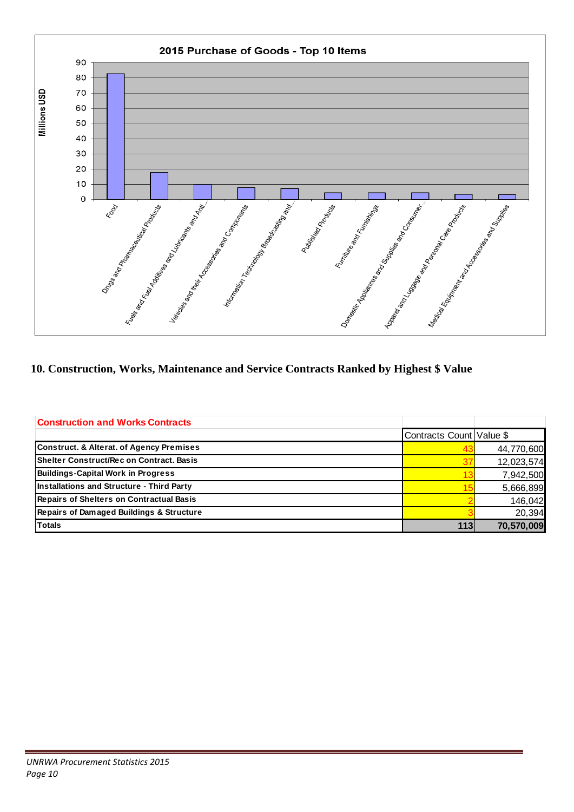

## **10. Construction, Works, Maintenance and Service Contracts Ranked by Highest \$ Value**

| <b>Construction and Works Contracts</b>             |                          |            |
|-----------------------------------------------------|--------------------------|------------|
|                                                     | Contracts Count Value \$ |            |
| <b>Construct. &amp; Alterat. of Agency Premises</b> |                          | 44,770,600 |
| Shelter Construct/Rec on Contract, Basis            | 37                       | 12,023,574 |
| <b>Buildings-Capital Work in Progress</b>           |                          | 7,942,500  |
| <b>Installations and Structure - Third Party</b>    |                          | 5,666,899  |
| <b>Repairs of Shelters on Contractual Basis</b>     |                          | 146,042    |
| <b>Repairs of Damaged Buildings &amp; Structure</b> |                          | 20,394     |
| <b>Totals</b>                                       | 113                      | 70,570,009 |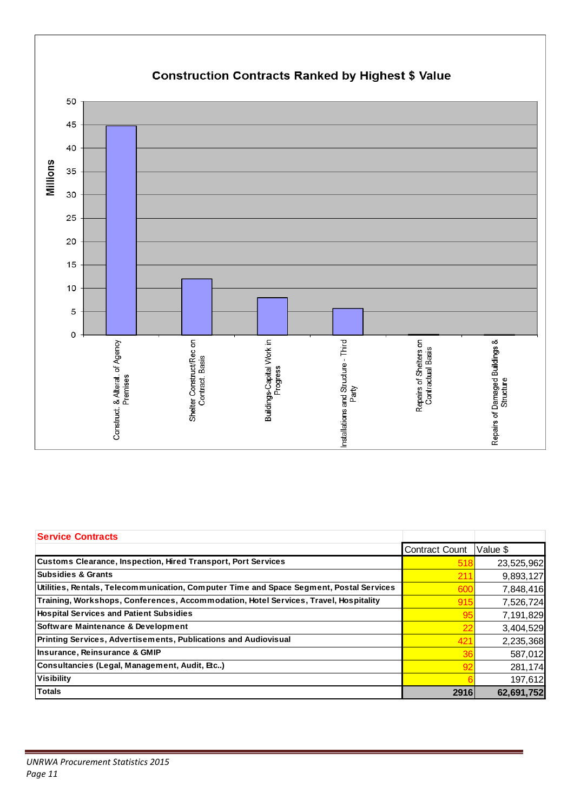

| <b>Service Contracts</b>                                                                |                       |            |
|-----------------------------------------------------------------------------------------|-----------------------|------------|
|                                                                                         | <b>Contract Count</b> | Value \$   |
| <b>Customs Clearance, Inspection, Hired Transport, Port Services</b>                    | 518                   | 23,525,962 |
| <b>Subsidies &amp; Grants</b>                                                           | 211                   | 9,893,127  |
| Utilities, Rentals, Telecommunication, Computer Time and Space Segment, Postal Services | 60 <sub>C</sub>       | 7,848,416  |
| Training, Workshops, Conferences, Accommodation, Hotel Services, Travel, Hospitality    | 915                   | 7,526,724  |
| <b>Hospital Services and Patient Subsidies</b>                                          | 95                    | 7,191,829  |
| Software Maintenance & Development                                                      |                       | 3,404,529  |
| <b>Printing Services, Advertisements, Publications and Audiovisual</b>                  | 421                   | 2,235,368  |
| Insurance, Reinsurance & GMIP                                                           | 36                    | 587,012    |
| Consultancies (Legal, Management, Audit, Etc)                                           | 92                    | 281,174    |
| <b>Visibility</b>                                                                       |                       | 197,612    |
| <b>Totals</b>                                                                           | 2916                  | 62,691,752 |